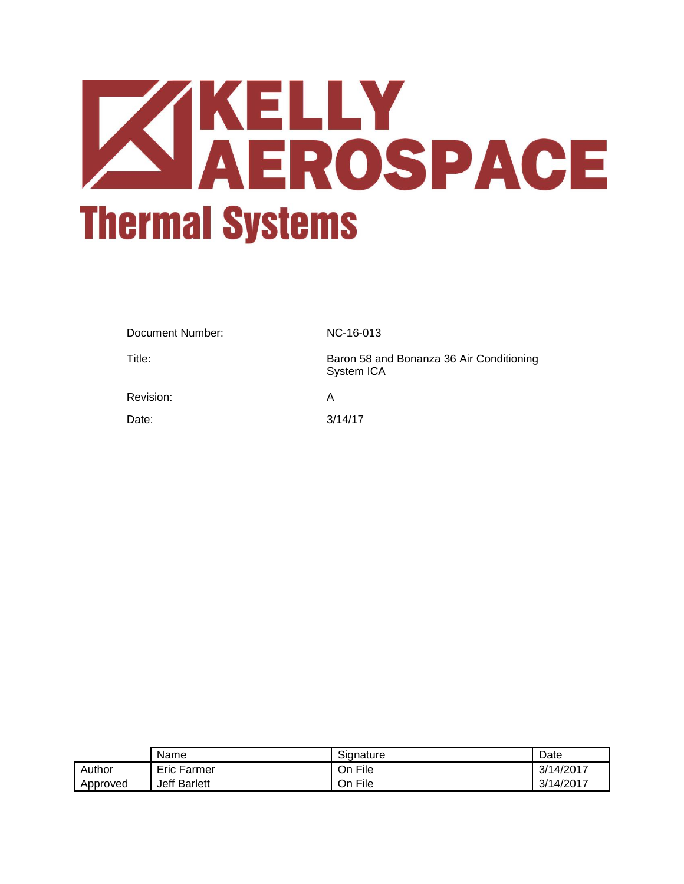# **ZIKELLY<br>AEROSPACE Thermal Systems**

| Document Number: | NC-16-013                                              |
|------------------|--------------------------------------------------------|
| Title:           | Baron 58 and Bonanza 36 Air Conditioning<br>System ICA |
| Revision:        | A                                                      |
| Date:            | 3/14/17                                                |

|          | Name                | Signature | Date      |
|----------|---------------------|-----------|-----------|
| Author   | Eric Farmer         | On File   | 3/14/2017 |
| Approved | <b>Jeff Barlett</b> | On File   | 3/14/2017 |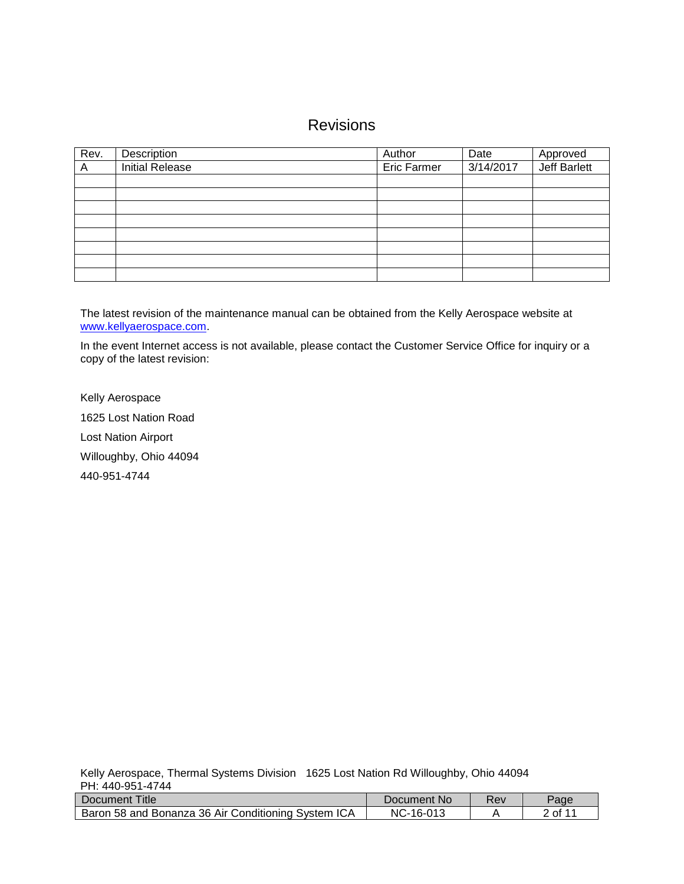# Revisions

| Rev. | Description            | Author             | Date      | Approved            |
|------|------------------------|--------------------|-----------|---------------------|
| A    | <b>Initial Release</b> | <b>Eric Farmer</b> | 3/14/2017 | <b>Jeff Barlett</b> |
|      |                        |                    |           |                     |
|      |                        |                    |           |                     |
|      |                        |                    |           |                     |
|      |                        |                    |           |                     |
|      |                        |                    |           |                     |
|      |                        |                    |           |                     |
|      |                        |                    |           |                     |
|      |                        |                    |           |                     |

The latest revision of the maintenance manual can be obtained from the Kelly Aerospace website at [www.kellyaerospace.com.](http://www.kellyaerospace.com/)

In the event Internet access is not available, please contact the Customer Service Office for inquiry or a copy of the latest revision:

Kelly Aerospace 1625 Lost Nation Road Lost Nation Airport Willoughby, Ohio 44094 440-951-4744

| Title<br>/ Document                                 | Document No    | Rev | Page   |
|-----------------------------------------------------|----------------|-----|--------|
| Baron 58 and Bonanza 36 Air Conditioning System ICA | NC-<br>-16-013 |     | 2 of 1 |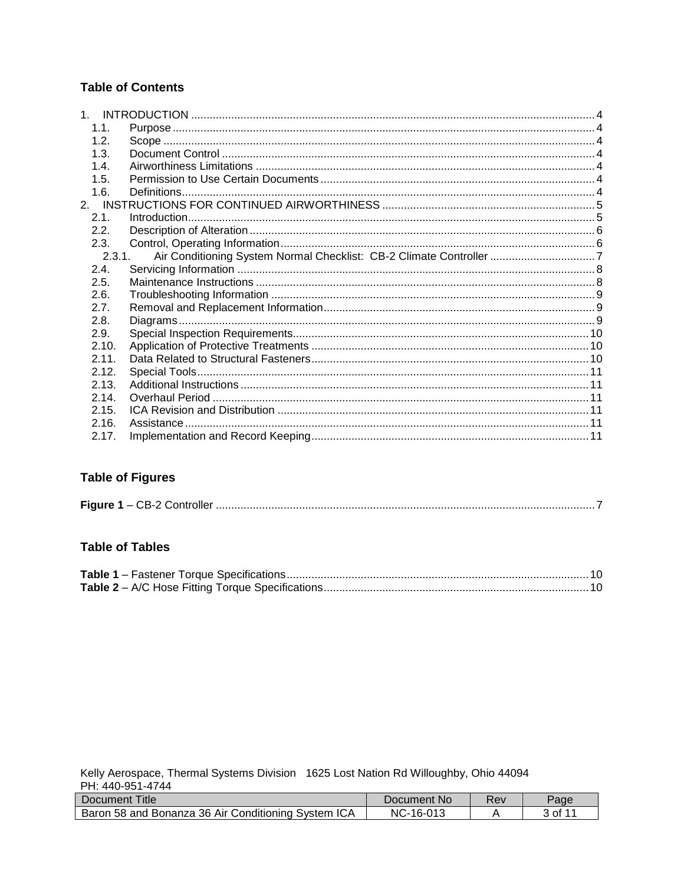# **Table of Contents**

| 1.1.   |  |
|--------|--|
| 1.2.   |  |
| 1.3.   |  |
| 1.4.   |  |
| 1.5.   |  |
| 1.6.   |  |
|        |  |
| 2.1.   |  |
| 2.2.   |  |
| 2.3.   |  |
| 2.3.1. |  |
| 2.4.   |  |
| 2.5.   |  |
| 2.6.   |  |
| 2.7.   |  |
| 2.8.   |  |
| 2.9.   |  |
| 2.10.  |  |
| 2.11.  |  |
| 2.12.  |  |
| 2.13.  |  |
| 2.14.  |  |
| 2.15.  |  |
| 2.16.  |  |
| 2.17.  |  |

# **Table of Figures**

## **Table of Tables**

| Title<br>Document '                                 | Document No          | Rev | Page |
|-----------------------------------------------------|----------------------|-----|------|
| Baron 58 and Bonanza 36 Air Conditioning System ICA | $NC-$<br>$-16 - 013$ |     | of 1 |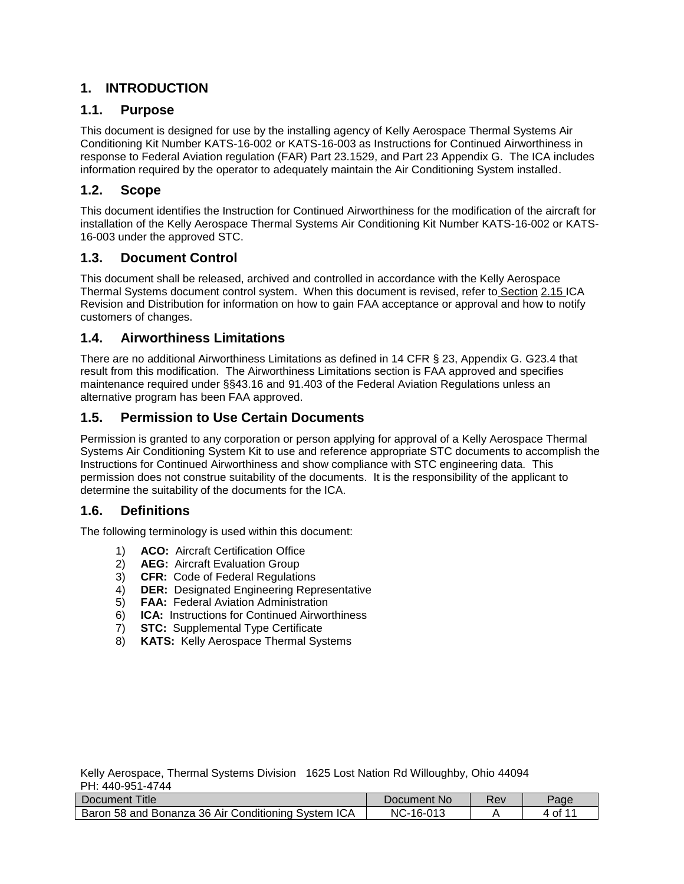# <span id="page-3-0"></span>**1. INTRODUCTION**

# <span id="page-3-1"></span>**1.1. Purpose**

This document is designed for use by the installing agency of Kelly Aerospace Thermal Systems Air Conditioning Kit Number KATS-16-002 or KATS-16-003 as Instructions for Continued Airworthiness in response to Federal Aviation regulation (FAR) Part 23.1529, and Part 23 Appendix G. The ICA includes information required by the operator to adequately maintain the Air Conditioning System installed.

# <span id="page-3-2"></span>**1.2. Scope**

This document identifies the Instruction for Continued Airworthiness for the modification of the aircraft for installation of the Kelly Aerospace Thermal Systems Air Conditioning Kit Number KATS-16-002 or KATS-16-003 under the approved STC.

# <span id="page-3-3"></span>**1.3. Document Control**

This document shall be released, archived and controlled in accordance with the Kelly Aerospace Thermal Systems document control system. When this document is revised, refer to Section [2.15](#page-10-3) [ICA](#page-10-3)  [Revision and Distribution](#page-10-3) for information on how to gain FAA acceptance or approval and how to notify customers of changes.

# <span id="page-3-4"></span>**1.4. Airworthiness Limitations**

There are no additional Airworthiness Limitations as defined in 14 CFR § 23, Appendix G. G23.4 that result from this modification. The Airworthiness Limitations section is FAA approved and specifies maintenance required under §§43.16 and 91.403 of the Federal Aviation Regulations unless an alternative program has been FAA approved.

# <span id="page-3-5"></span>**1.5. Permission to Use Certain Documents**

Permission is granted to any corporation or person applying for approval of a Kelly Aerospace Thermal Systems Air Conditioning System Kit to use and reference appropriate STC documents to accomplish the Instructions for Continued Airworthiness and show compliance with STC engineering data. This permission does not construe suitability of the documents. It is the responsibility of the applicant to determine the suitability of the documents for the ICA.

# <span id="page-3-6"></span>**1.6. Definitions**

The following terminology is used within this document:

- 1) **ACO:** Aircraft Certification Office
- 2) **AEG:** Aircraft Evaluation Group
- 3) **CFR:** Code of Federal Regulations
- 4) **DER:** Designated Engineering Representative
- 5) **FAA:** Federal Aviation Administration
- 6) **ICA:** Instructions for Continued Airworthiness
- 7) **STC:** Supplemental Type Certificate
- 8) **KATS:** Kelly Aerospace Thermal Systems

|                  | Kelly Aerospace, Thermal Systems Division 1625 Lost Nation Rd Willoughby, Ohio 44094 |
|------------------|--------------------------------------------------------------------------------------|
| PH: 440-951-4744 |                                                                                      |

| Title<br>Document                                   | Document No        | Rev | $a$ aqe |
|-----------------------------------------------------|--------------------|-----|---------|
| Baron 58 and Bonanza 36 Air Conditioning System ICA | NC-<br>$-16 - 013$ |     |         |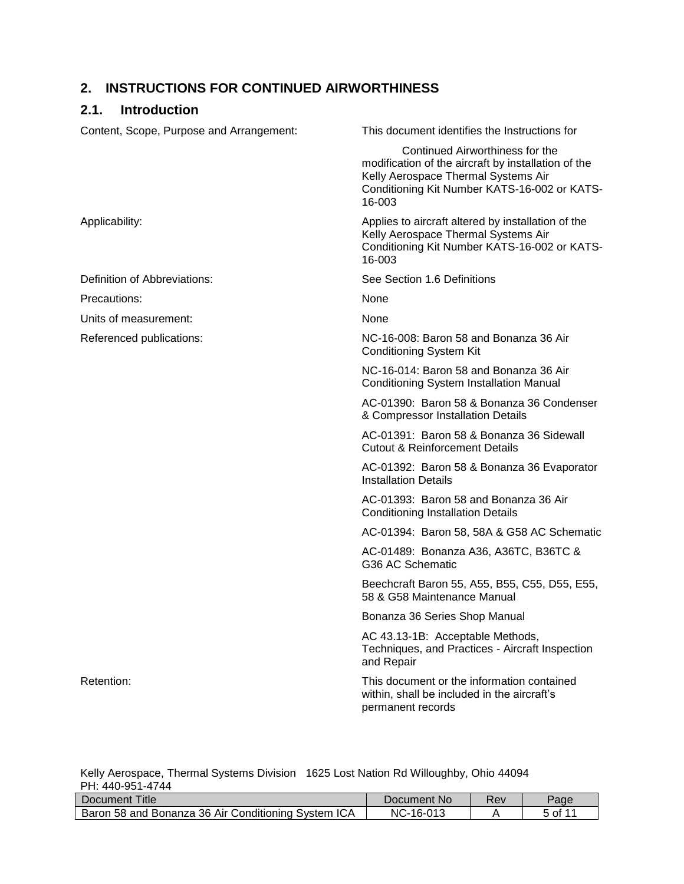# <span id="page-4-0"></span>**2. INSTRUCTIONS FOR CONTINUED AIRWORTHINESS**

# <span id="page-4-1"></span>**2.1. Introduction**

| Content, Scope, Purpose and Arrangement: | This document identifies the Instructions for                                                                                                                                           |
|------------------------------------------|-----------------------------------------------------------------------------------------------------------------------------------------------------------------------------------------|
|                                          | Continued Airworthiness for the<br>modification of the aircraft by installation of the<br>Kelly Aerospace Thermal Systems Air<br>Conditioning Kit Number KATS-16-002 or KATS-<br>16-003 |
| Applicability:                           | Applies to aircraft altered by installation of the<br>Kelly Aerospace Thermal Systems Air<br>Conditioning Kit Number KATS-16-002 or KATS-<br>16-003                                     |
| Definition of Abbreviations:             | See Section 1.6 Definitions                                                                                                                                                             |
| Precautions:                             | None                                                                                                                                                                                    |
| Units of measurement:                    | None                                                                                                                                                                                    |
| Referenced publications:                 | NC-16-008: Baron 58 and Bonanza 36 Air<br><b>Conditioning System Kit</b>                                                                                                                |
|                                          | NC-16-014: Baron 58 and Bonanza 36 Air<br><b>Conditioning System Installation Manual</b>                                                                                                |
|                                          | AC-01390: Baron 58 & Bonanza 36 Condenser<br>& Compressor Installation Details                                                                                                          |
|                                          | AC-01391: Baron 58 & Bonanza 36 Sidewall<br><b>Cutout &amp; Reinforcement Details</b>                                                                                                   |
|                                          | AC-01392: Baron 58 & Bonanza 36 Evaporator<br><b>Installation Details</b>                                                                                                               |
|                                          | AC-01393: Baron 58 and Bonanza 36 Air<br><b>Conditioning Installation Details</b>                                                                                                       |
|                                          | AC-01394: Baron 58, 58A & G58 AC Schematic                                                                                                                                              |
|                                          | AC-01489: Bonanza A36, A36TC, B36TC &<br>G36 AC Schematic                                                                                                                               |
|                                          | Beechcraft Baron 55, A55, B55, C55, D55, E55,<br>58 & G58 Maintenance Manual                                                                                                            |
|                                          | Bonanza 36 Series Shop Manual                                                                                                                                                           |
|                                          | AC 43.13-1B: Acceptable Methods,<br>Techniques, and Practices - Aircraft Inspection<br>and Repair                                                                                       |
| Retention:                               | This document or the information contained<br>within, shall be included in the aircraft's<br>permanent records                                                                          |

| Document Title                                      | Document No    | Rev | Paα |
|-----------------------------------------------------|----------------|-----|-----|
| Baron 58 and Bonanza 36 Air Conditioning System ICA | -16-013<br>NC- |     |     |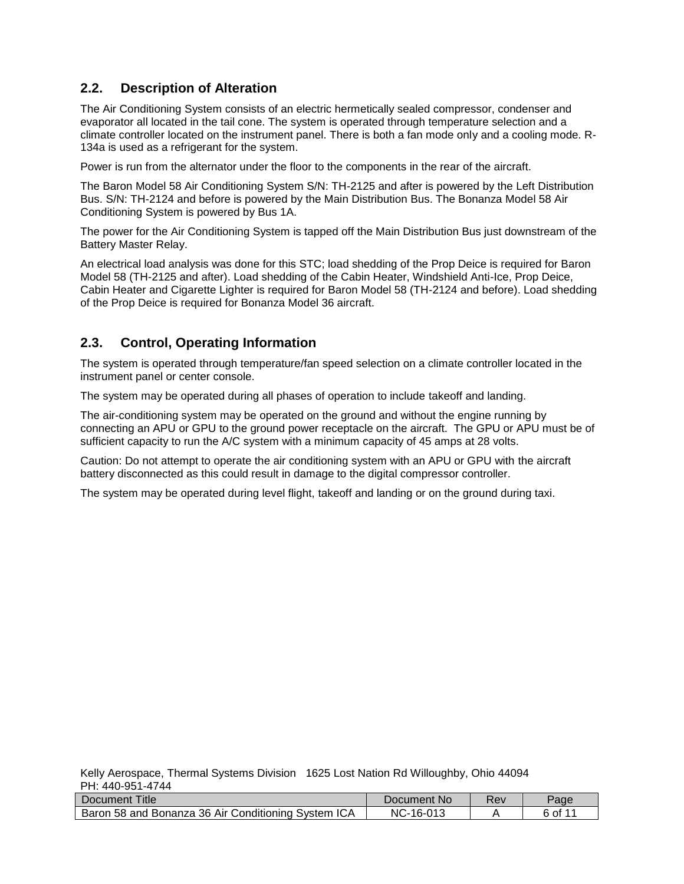# <span id="page-5-0"></span>**2.2. Description of Alteration**

The Air Conditioning System consists of an electric hermetically sealed compressor, condenser and evaporator all located in the tail cone. The system is operated through temperature selection and a climate controller located on the instrument panel. There is both a fan mode only and a cooling mode. R-134a is used as a refrigerant for the system.

Power is run from the alternator under the floor to the components in the rear of the aircraft.

The Baron Model 58 Air Conditioning System S/N: TH-2125 and after is powered by the Left Distribution Bus. S/N: TH-2124 and before is powered by the Main Distribution Bus. The Bonanza Model 58 Air Conditioning System is powered by Bus 1A.

The power for the Air Conditioning System is tapped off the Main Distribution Bus just downstream of the Battery Master Relay.

An electrical load analysis was done for this STC; load shedding of the Prop Deice is required for Baron Model 58 (TH-2125 and after). Load shedding of the Cabin Heater, Windshield Anti-Ice, Prop Deice, Cabin Heater and Cigarette Lighter is required for Baron Model 58 (TH-2124 and before). Load shedding of the Prop Deice is required for Bonanza Model 36 aircraft.

# <span id="page-5-1"></span>**2.3. Control, Operating Information**

The system is operated through temperature/fan speed selection on a climate controller located in the instrument panel or center console.

The system may be operated during all phases of operation to include takeoff and landing.

The air-conditioning system may be operated on the ground and without the engine running by connecting an APU or GPU to the ground power receptacle on the aircraft. The GPU or APU must be of sufficient capacity to run the A/C system with a minimum capacity of 45 amps at 28 volts.

Caution: Do not attempt to operate the air conditioning system with an APU or GPU with the aircraft battery disconnected as this could result in damage to the digital compressor controller.

The system may be operated during level flight, takeoff and landing or on the ground during taxi.

| Title<br>Document                                   | Document No        | Rev | Paqe |
|-----------------------------------------------------|--------------------|-----|------|
| Baron 58 and Bonanza 36 Air Conditioning System ICA | NC-<br>$-16 - 013$ |     | of 1 |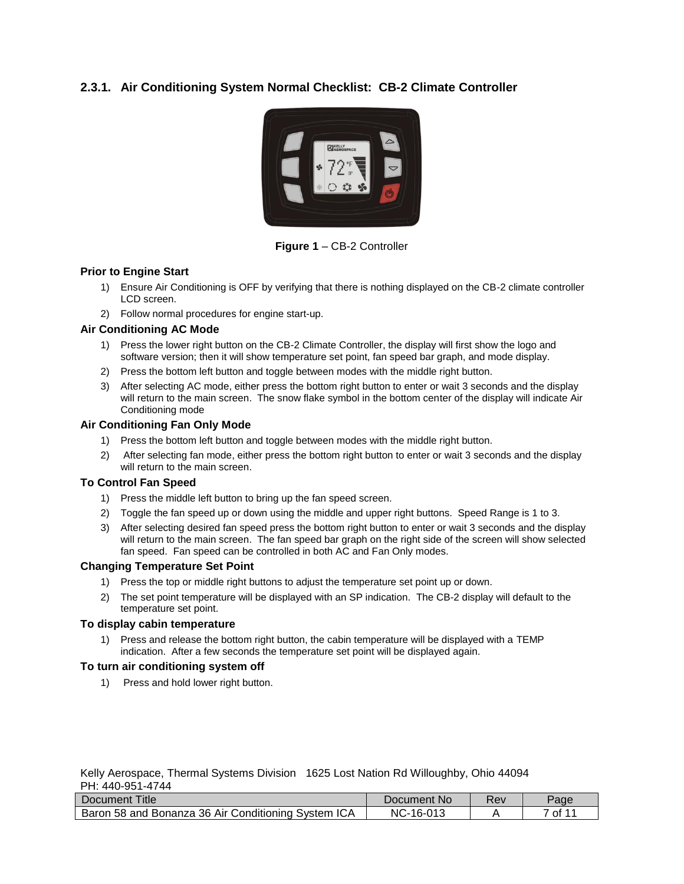## <span id="page-6-0"></span>**2.3.1. Air Conditioning System Normal Checklist: CB-2 Climate Controller**



**Figure 1** – CB-2 Controller

#### <span id="page-6-1"></span>**Prior to Engine Start**

- 1) Ensure Air Conditioning is OFF by verifying that there is nothing displayed on the CB-2 climate controller LCD screen.
- 2) Follow normal procedures for engine start-up.

#### **Air Conditioning AC Mode**

- 1) Press the lower right button on the CB-2 Climate Controller, the display will first show the logo and software version; then it will show temperature set point, fan speed bar graph, and mode display.
- 2) Press the bottom left button and toggle between modes with the middle right button.
- 3) After selecting AC mode, either press the bottom right button to enter or wait 3 seconds and the display will return to the main screen. The snow flake symbol in the bottom center of the display will indicate Air Conditioning mode

#### **Air Conditioning Fan Only Mode**

- 1) Press the bottom left button and toggle between modes with the middle right button.
- 2) After selecting fan mode, either press the bottom right button to enter or wait 3 seconds and the display will return to the main screen.

#### **To Control Fan Speed**

- 1) Press the middle left button to bring up the fan speed screen.
- 2) Toggle the fan speed up or down using the middle and upper right buttons. Speed Range is 1 to 3.
- 3) After selecting desired fan speed press the bottom right button to enter or wait 3 seconds and the display will return to the main screen. The fan speed bar graph on the right side of the screen will show selected fan speed. Fan speed can be controlled in both AC and Fan Only modes.

#### **Changing Temperature Set Point**

- 1) Press the top or middle right buttons to adjust the temperature set point up or down.
- 2) The set point temperature will be displayed with an SP indication. The CB-2 display will default to the temperature set point.

#### **To display cabin temperature**

1) Press and release the bottom right button, the cabin temperature will be displayed with a TEMP indication. After a few seconds the temperature set point will be displayed again.

#### **To turn air conditioning system off**

1) Press and hold lower right button.

|                  | Kelly Aerospace, Thermal Systems Division 1625 Lost Nation Rd Willoughby, Ohio 44094 |
|------------------|--------------------------------------------------------------------------------------|
| PH: 440-951-4744 |                                                                                      |

| Title<br>Document                                   | Document No               | Rev | $a$ ade |
|-----------------------------------------------------|---------------------------|-----|---------|
| Baron 58 and Bonanza 36 Air Conditioning System ICA | -16-01 <sup>-</sup><br>NC |     | of 1    |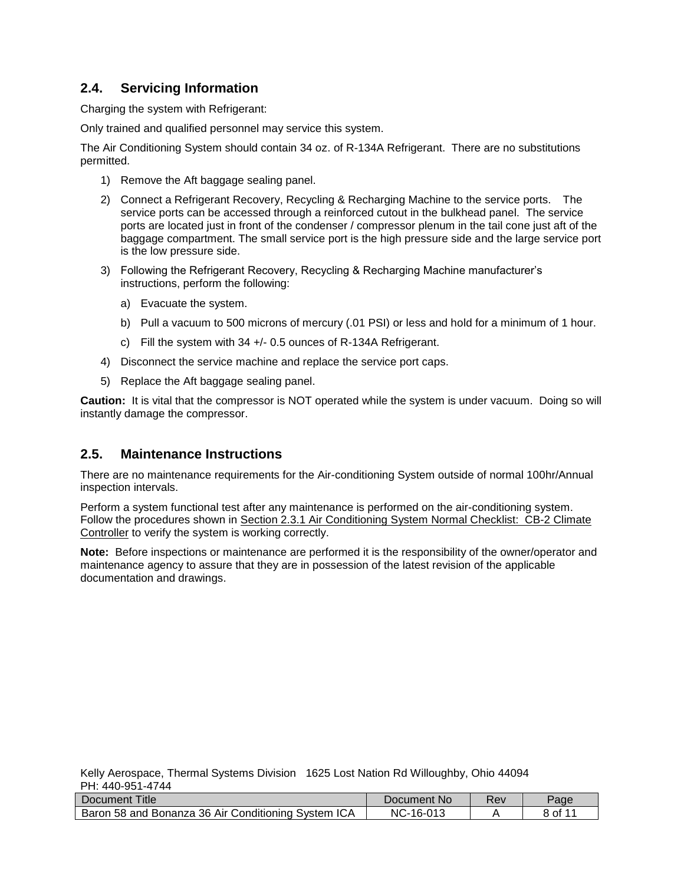# <span id="page-7-0"></span>**2.4. Servicing Information**

Charging the system with Refrigerant:

Only trained and qualified personnel may service this system.

The Air Conditioning System should contain 34 oz. of R-134A Refrigerant. There are no substitutions permitted.

- 1) Remove the Aft baggage sealing panel.
- 2) Connect a Refrigerant Recovery, Recycling & Recharging Machine to the service ports. The service ports can be accessed through a reinforced cutout in the bulkhead panel. The service ports are located just in front of the condenser / compressor plenum in the tail cone just aft of the baggage compartment. The small service port is the high pressure side and the large service port is the low pressure side.
- 3) Following the Refrigerant Recovery, Recycling & Recharging Machine manufacturer's instructions, perform the following:
	- a) Evacuate the system.
	- b) Pull a vacuum to 500 microns of mercury (.01 PSI) or less and hold for a minimum of 1 hour.
	- c) Fill the system with 34 +/- 0.5 ounces of R-134A Refrigerant.
- 4) Disconnect the service machine and replace the service port caps.
- 5) Replace the Aft baggage sealing panel.

**Caution:** It is vital that the compressor is NOT operated while the system is under vacuum. Doing so will instantly damage the compressor.

# <span id="page-7-1"></span>**2.5. Maintenance Instructions**

There are no maintenance requirements for the Air-conditioning System outside of normal 100hr/Annual inspection intervals.

Perform a system functional test after any maintenance is performed on the air-conditioning system. Follow the procedures shown in Section [2.3.1](#page-6-0) Air Conditioning System Normal [Checklist: CB-2 Climate](#page-6-0) [Controller](#page-6-0) to verify the system is working correctly.

**Note:** Before inspections or maintenance are performed it is the responsibility of the owner/operator and maintenance agency to assure that they are in possession of the latest revision of the applicable documentation and drawings.

| Title<br>Document                                   | Document No | ₹ev | $P$ aqe |
|-----------------------------------------------------|-------------|-----|---------|
| Baron 58 and Bonanza 36 Air Conditioning System ICA | NC-16-013   |     | 8 of 1  |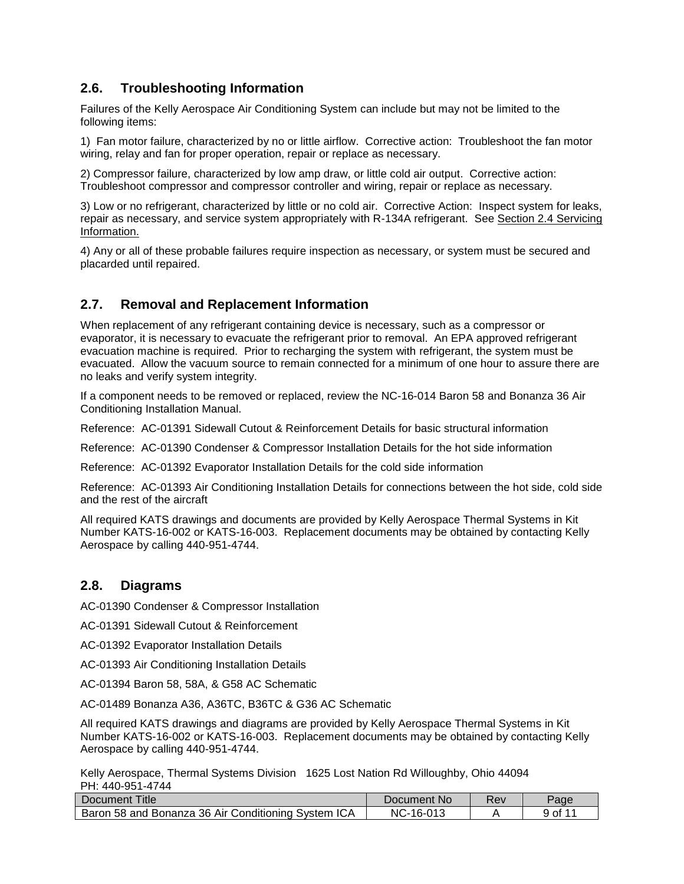# <span id="page-8-0"></span>**2.6. Troubleshooting Information**

Failures of the Kelly Aerospace Air Conditioning System can include but may not be limited to the following items:

1) Fan motor failure, characterized by no or little airflow. Corrective action: Troubleshoot the fan motor wiring, relay and fan for proper operation, repair or replace as necessary.

2) Compressor failure, characterized by low amp draw, or little cold air output. Corrective action: Troubleshoot compressor and compressor controller and wiring, repair or replace as necessary.

3) Low or no refrigerant, characterized by little or no cold air. Corrective Action: Inspect system for leaks, repair as necessary, and service system appropriately with R-134A refrigerant. See Section [2.4](#page-7-0) Servicing Information.

4) Any or all of these probable failures require inspection as necessary, or system must be secured and placarded until repaired.

# <span id="page-8-1"></span>**2.7. Removal and Replacement Information**

When replacement of any refrigerant containing device is necessary, such as a compressor or evaporator, it is necessary to evacuate the refrigerant prior to removal. An EPA approved refrigerant evacuation machine is required. Prior to recharging the system with refrigerant, the system must be evacuated. Allow the vacuum source to remain connected for a minimum of one hour to assure there are no leaks and verify system integrity.

If a component needs to be removed or replaced, review the NC-16-014 Baron 58 and Bonanza 36 Air Conditioning Installation Manual.

Reference: AC-01391 Sidewall Cutout & Reinforcement Details for basic structural information

Reference: AC-01390 Condenser & Compressor Installation Details for the hot side information

Reference: AC-01392 Evaporator Installation Details for the cold side information

Reference: AC-01393 Air Conditioning Installation Details for connections between the hot side, cold side and the rest of the aircraft

All required KATS drawings and documents are provided by Kelly Aerospace Thermal Systems in Kit Number KATS-16-002 or KATS-16-003. Replacement documents may be obtained by contacting Kelly Aerospace by calling 440-951-4744.

# <span id="page-8-2"></span>**2.8. Diagrams**

AC-01390 Condenser & Compressor Installation

AC-01391 Sidewall Cutout & Reinforcement

AC-01392 Evaporator Installation Details

AC-01393 Air Conditioning Installation Details

AC-01394 Baron 58, 58A, & G58 AC Schematic

AC-01489 Bonanza A36, A36TC, B36TC & G36 AC Schematic

All required KATS drawings and diagrams are provided by Kelly Aerospace Thermal Systems in Kit Number KATS-16-002 or KATS-16-003. Replacement documents may be obtained by contacting Kelly Aerospace by calling 440-951-4744.

| Title<br>Document <sup>7</sup>                      | Document No      | ₹ev | Page |
|-----------------------------------------------------|------------------|-----|------|
| Baron 58 and Bonanza 36 Air Conditioning System ICA | $NC-$<br>-16-013 |     | 9 of |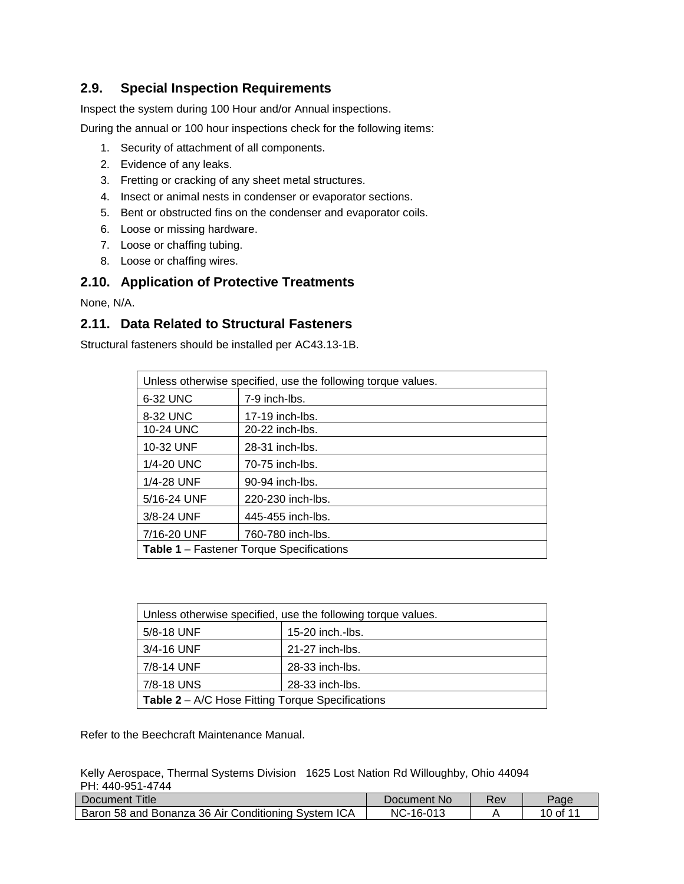# <span id="page-9-0"></span>**2.9. Special Inspection Requirements**

Inspect the system during 100 Hour and/or Annual inspections.

During the annual or 100 hour inspections check for the following items:

- 1. Security of attachment of all components.
- 2. Evidence of any leaks.
- 3. Fretting or cracking of any sheet metal structures.
- 4. Insect or animal nests in condenser or evaporator sections.
- 5. Bent or obstructed fins on the condenser and evaporator coils.
- 6. Loose or missing hardware.
- 7. Loose or chaffing tubing.
- 8. Loose or chaffing wires.

## <span id="page-9-1"></span>**2.10. Application of Protective Treatments**

None, N/A.

# <span id="page-9-2"></span>**2.11. Data Related to Structural Fasteners**

Structural fasteners should be installed per AC43.13-1B.

| Unless otherwise specified, use the following torque values. |                   |  |  |
|--------------------------------------------------------------|-------------------|--|--|
| 6-32 UNC                                                     | 7-9 inch-lbs.     |  |  |
| 8-32 UNC                                                     | $17-19$ inch-lbs. |  |  |
| 10-24 UNC                                                    | 20-22 inch-lbs.   |  |  |
| 10-32 UNF                                                    | 28-31 inch-lbs.   |  |  |
| 1/4-20 UNC                                                   | 70-75 inch-lbs.   |  |  |
| 1/4-28 UNF                                                   | 90-94 inch-lbs.   |  |  |
| 5/16-24 UNF                                                  | 220-230 inch-lbs. |  |  |
| 3/8-24 UNF                                                   | 445-455 inch-lbs. |  |  |
| 7/16-20 UNF                                                  | 760-780 inch-lbs. |  |  |
| <b>Table 1 – Fastener Torque Specifications</b>              |                   |  |  |

<span id="page-9-3"></span>

| Unless otherwise specified, use the following torque values. |                   |  |  |
|--------------------------------------------------------------|-------------------|--|--|
| 5/8-18 UNF                                                   | 15-20 inch.-lbs.  |  |  |
| 3/4-16 UNF                                                   | $21-27$ inch-lbs. |  |  |
| 7/8-14 UNF                                                   | 28-33 inch-lbs.   |  |  |
| 7/8-18 UNS                                                   | 28-33 inch-lbs.   |  |  |
| <b>Table 2 - A/C Hose Fitting Torque Specifications</b>      |                   |  |  |

<span id="page-9-4"></span>Refer to the Beechcraft Maintenance Manual.

| Document Title                                      | Document No    | Rev | Paqe     |
|-----------------------------------------------------|----------------|-----|----------|
| Baron 58 and Bonanza 36 Air Conditioning System ICA | NC-<br>-16-013 |     | 10 of 11 |